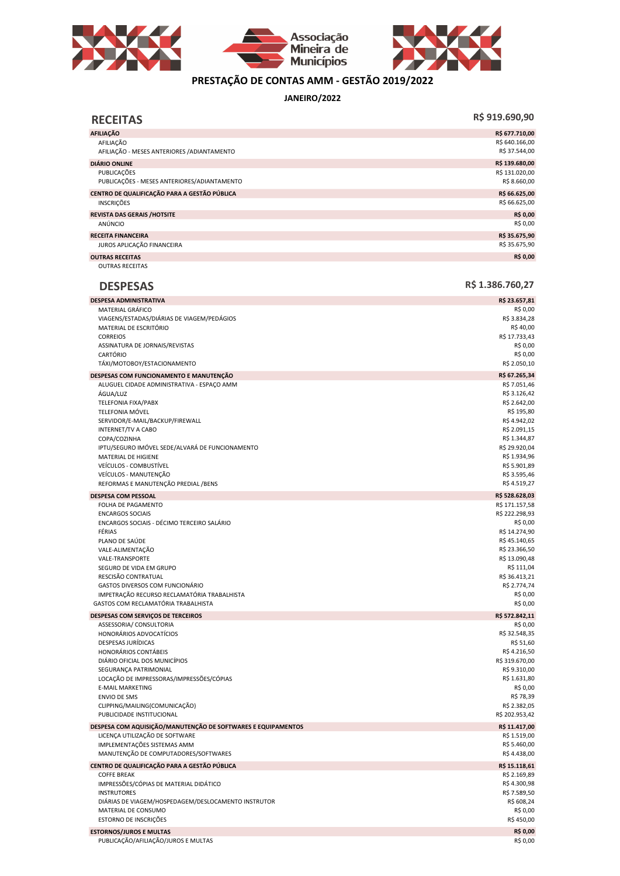





## PRESTAÇÃO DE CONTAS AMM - GESTÃO 2019/2022

JANEIRO/2022

| <b>RECEITAS</b>                                                                    | R\$ 919.690,90                   |
|------------------------------------------------------------------------------------|----------------------------------|
| <b>AFILIAÇÃO</b>                                                                   | R\$ 677.710,00                   |
| AFILIAÇÃO<br>AFILIAÇÃO - MESES ANTERIORES / ADIANTAMENTO                           | R\$ 640.166,00<br>R\$ 37.544,00  |
| <b>DIÁRIO ONLINE</b>                                                               | R\$ 139.680,00                   |
| PUBLICACÕES<br>PUBLICAÇÕES - MESES ANTERIORES/ADIANTAMENTO                         | R\$ 131.020,00<br>R\$ 8.660,00   |
| CENTRO DE QUALIFICAÇÃO PARA A GESTÃO PÚBLICA<br><b>INSCRIÇÕES</b>                  | R\$ 66.625,00<br>R\$ 66.625,00   |
| <b>REVISTA DAS GERAIS /HOTSITE</b>                                                 | R\$ 0,00                         |
| ANÚNCIO                                                                            | R\$ 0,00                         |
| <b>RECEITA FINANCEIRA</b><br>JUROS APLICAÇÃO FINANCEIRA                            | R\$ 35.675,90<br>R\$ 35.675,90   |
| <b>OUTRAS RECEITAS</b>                                                             | R\$ 0,00                         |
| <b>OUTRAS RECEITAS</b>                                                             |                                  |
| <b>DESPESAS</b>                                                                    | R\$ 1.386.760,27                 |
| <b>DESPESA ADMINISTRATIVA</b>                                                      | R\$ 23.657,81                    |
| MATERIAL GRÁFICO<br>VIAGENS/ESTADAS/DIÁRIAS DE VIAGEM/PEDÁGIOS                     | R\$ 0,00<br>R\$ 3.834,28         |
| MATERIAL DE ESCRITÓRIO                                                             | R\$40,00                         |
| <b>CORREIOS</b>                                                                    | R\$ 17.733,43                    |
| ASSINATURA DE JORNAIS/REVISTAS                                                     | R\$ 0,00                         |
| CARTÓRIO<br>TÁXI/MOTOBOY/ESTACIONAMENTO                                            | R\$ 0,00<br>R\$ 2.050,10         |
| DESPESAS COM FUNCIONAMENTO E MANUTENÇÃO                                            | R\$ 67.265,34                    |
| ALUGUEL CIDADE ADMINISTRATIVA - ESPAÇO AMM                                         | R\$ 7.051,46                     |
| ÁGUA/LUZ                                                                           | R\$ 3.126,42                     |
| TELEFONIA FIXA/PABX                                                                | R\$ 2.642,00                     |
| <b>TELEFONIA MÓVEL</b><br>SERVIDOR/E-MAIL/BACKUP/FIREWALL                          | R\$ 195,80<br>R\$4.942,02        |
| <b>INTERNET/TV A CABO</b>                                                          | R\$ 2.091,15                     |
| COPA/COZINHA                                                                       | R\$ 1.344,87                     |
| IPTU/SEGURO IMÓVEL SEDE/ALVARÁ DE FUNCIONAMENTO                                    | R\$ 29.920,04                    |
| MATERIAL DE HIGIENE<br>VEÍCULOS - COMBUSTÍVEL                                      | R\$ 1.934,96<br>R\$ 5.901,89     |
| VEÍCULOS - MANUTENÇÃO                                                              | R\$ 3.595,46                     |
| REFORMAS E MANUTENÇÃO PREDIAL / BENS                                               | R\$4.519,27                      |
| <b>DESPESA COM PESSOAL</b>                                                         | R\$ 528.628,03                   |
| FOLHA DE PAGAMENTO<br><b>ENCARGOS SOCIAIS</b>                                      | R\$ 171.157,58<br>R\$ 222.298,93 |
| ENCARGOS SOCIAIS - DÉCIMO TERCEIRO SALÁRIO                                         | R\$ 0,00                         |
| FÉRIAS                                                                             | R\$ 14.274,90                    |
| PLANO DE SAÚDE                                                                     | R\$45.140,65                     |
| VALE-ALIMENTAÇÃO<br>VALE-TRANSPORTE                                                | R\$ 23.366,50<br>R\$ 13.090,48   |
| SEGURO DE VIDA EM GRUPO                                                            | R\$ 111,04                       |
| RESCISÃO CONTRATUAL                                                                | R\$ 36.413,21                    |
| GASTOS DIVERSOS COM FUNCIONÁRIO                                                    | R\$ 2.774,74<br>R\$ 0,00         |
| IMPETRAÇÃO RECURSO RECLAMATÓRIA TRABALHISTA<br>GASTOS COM RECLAMATÓRIA TRABALHISTA | R\$ 0,00                         |
| DESPESAS COM SERVIÇOS DE TERCEIROS                                                 | R\$ 572.842,11                   |
| ASSESSORIA/ CONSULTORIA                                                            | R\$ 0,00                         |
| HONORÁRIOS ADVOCATÍCIOS                                                            | R\$ 32.548,35                    |
| DESPESAS JURÍDICAS<br>HONORÁRIOS CONTÁBEIS                                         | R\$ 51,60<br>R\$4.216,50         |
| DIÁRIO OFICIAL DOS MUNICÍPIOS                                                      | R\$ 319.670,00                   |
| SEGURANÇA PATRIMONIAL                                                              | R\$ 9.310,00                     |
| LOCAÇÃO DE IMPRESSORAS/IMPRESSÕES/CÓPIAS<br><b>E-MAIL MARKETING</b>                | R\$ 1.631,80                     |
| <b>ENVIO DE SMS</b>                                                                | R\$ 0,00<br>R\$ 78,39            |
| CLIPPING/MAILING(COMUNICAÇÃO)                                                      | R\$ 2.382,05                     |
| PUBLICIDADE INSTITUCIONAL                                                          | R\$ 202.953,42                   |
| DESPESA COM AQUISIÇÃO/MANUTENÇÃO DE SOFTWARES E EQUIPAMENTOS                       | R\$ 11.417,00                    |
| LICENÇA UTILIZAÇÃO DE SOFTWARE<br>IMPLEMENTAÇÕES SISTEMAS AMM                      | R\$ 1.519,00<br>R\$ 5.460,00     |
| MANUTENÇÃO DE COMPUTADORES/SOFTWARES                                               | R\$4.438,00                      |
| CENTRO DE QUALIFICAÇÃO PARA A GESTÃO PÚBLICA                                       | R\$ 15.118,61                    |
| <b>COFFE BREAK</b>                                                                 | R\$ 2.169,89                     |
| IMPRESSÕES/CÓPIAS DE MATERIAL DIDÁTICO                                             | R\$4.300,98                      |
| <b>INSTRUTORES</b><br>DIÁRIAS DE VIAGEM/HOSPEDAGEM/DESLOCAMENTO INSTRUTOR          | R\$ 7.589,50<br>R\$ 608,24       |
| MATERIAL DE CONSUMO                                                                | R\$ 0,00                         |
| ESTORNO DE INSCRIÇÕES                                                              | R\$450,00                        |

ESTORNOS/JUROS E MULTAS **R\$ 0,00**<br>PUBLICAÇÃO/AFILIAÇÃO/JUROS E MULTAS R\$ 0,000 DE R\$ 0,000 DE R\$ 0,000 DE R\$ 0,000 DE R\$ 0,000 DE R\$ 0,000 DE R\$ PUBLICAÇÃO/AFILIAÇÃO/JUROS E MULTAS